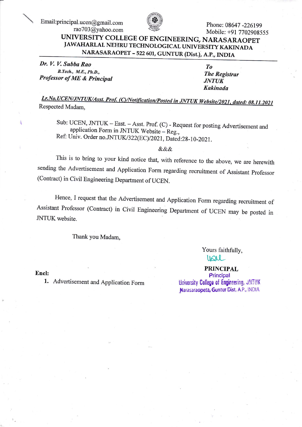Email:principal.ucen@gmail.com rao703@yahoo.com



Phone: 08647-226199 Mobile: +91 7702908555

## UNIVERSITY COLLEGE OF ENGINEERING, NARASARAOPET JAWAHARLAL NEHRU TECHNOLOGICAL UNIVERSITY KAKINADA NARASARAOPET - 522 601, GUNTUR (Dist.), A.P., INDIA

Dr. V. V. Subba Rao B. Tech., M.E., Ph.D., Professor of ME & Principal

 $T<sub>o</sub>$ **The Registrar JNTUK Kakinada** 

Lr.No.UCEN/JNTUK/Asst. Prof. (C)/Notification/Posted in JNTUK Website/2021, dated: 08.11.2021 Respected Madam.

Sub: UCEN, JNTUK - Esst. - Asst. Prof. (C) - Request for posting Advertisement and application Form in JNTUK Website - Reg., Ref: Univ. Order no.JNTUK/322(EC)/2021, Dated:28-10-2021.

&&&

This is to bring to your kind notice that, with reference to the above, we are herewith sending the Advertisement and Application Form regarding recruitment of Assistant Professor (Contract) in Civil Engineering Department of UCEN.

Hence, I request that the Advertisement and Application Form regarding recruitment of Assistant Professor (Contract) in Civil Engineering Department of UCEN may be posted in JNTUK website.

Thank you Madam,

Yours faithfully, you

Encl:

1. Advertisement and Application Form

**PRINCIPAL** Principal University College of Engineering, JNTUK Narasaraopeta, Guntur Dist, A.P., INDIA